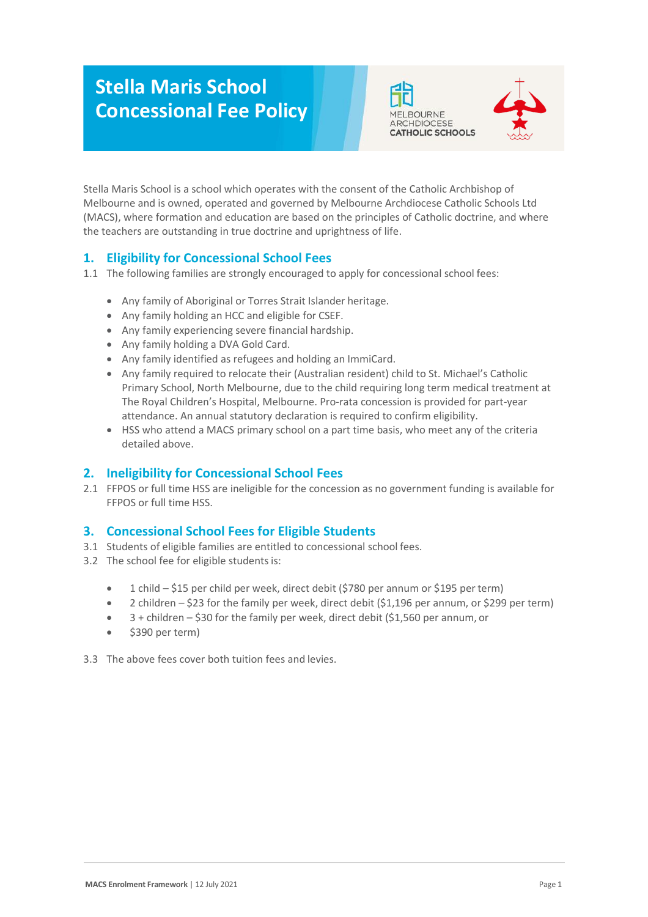# **Stella Maris School Concessional Fee Policy**





Stella Maris School is a school which operates with the consent of the Catholic Archbishop of Melbourne and is owned, operated and governed by Melbourne Archdiocese Catholic Schools Ltd (MACS), where formation and education are based on the principles of Catholic doctrine, and where the teachers are outstanding in true doctrine and uprightness of life.

# **1. Eligibility for Concessional School Fees**

1.1 The following families are strongly encouraged to apply for concessional school fees:

- Any family of Aboriginal or Torres Strait Islander heritage.
- Any family holding an HCC and eligible for CSEF.
- Any family experiencing severe financial hardship.
- Any family holding a DVA Gold Card.
- Any family identified as refugees and holding an ImmiCard.
- Any family required to relocate their (Australian resident) child to St. Michael's Catholic Primary School, North Melbourne, due to the child requiring long term medical treatment at The Royal Children's Hospital, Melbourne. Pro-rata concession is provided for part-year attendance. An annual statutory declaration is required to confirm eligibility.
- HSS who attend a MACS primary school on a part time basis, who meet any of the criteria detailed above.

## **2. Ineligibility for Concessional School Fees**

2.1 FFPOS or full time HSS are ineligible for the concession as no government funding is available for FFPOS or full time HSS.

## **3. Concessional School Fees for Eligible Students**

- 3.1 Students of eligible families are entitled to concessional school fees.
- 3.2 The school fee for eligible students is:
	- 1 child \$15 per child per week, direct debit (\$780 per annum or \$195 per term)
	- 2 children \$23 for the family per week, direct debit (\$1,196 per annum, or \$299 per term)
	- $\bullet$  3 + children \$30 for the family per week, direct debit (\$1,560 per annum, or
	- \$390 per term)
- 3.3 The above fees cover both tuition fees and levies.